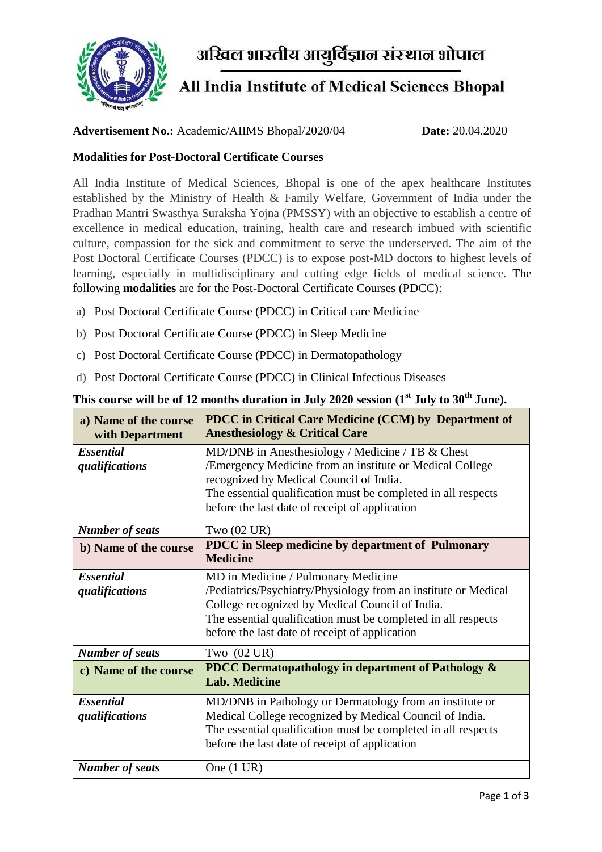

अखिल भारतीय आयुर्विज्ञान संस्थान भोपाल

## All India Institute of Medical Sciences Bhopal

## **Advertisement No.:** Academic/AIIMS Bhopal/2020/04 **Date:** 20.04.2020

## **Modalities for Post-Doctoral Certificate Courses**

All India Institute of Medical Sciences, Bhopal is one of the apex healthcare Institutes established by the Ministry of Health & Family Welfare, Government of India under the Pradhan Mantri Swasthya Suraksha Yojna (PMSSY) with an objective to establish a centre of excellence in medical education, training, health care and research imbued with scientific culture, compassion for the sick and commitment to serve the underserved. The aim of the Post Doctoral Certificate Courses (PDCC) is to expose post-MD doctors to highest levels of learning, especially in multidisciplinary and cutting edge fields of medical science. The following **modalities** are for the Post-Doctoral Certificate Courses (PDCC):

- a) Post Doctoral Certificate Course (PDCC) in Critical care Medicine
- b) Post Doctoral Certificate Course (PDCC) in Sleep Medicine
- c) Post Doctoral Certificate Course (PDCC) in Dermatopathology
- d) Post Doctoral Certificate Course (PDCC) in Clinical Infectious Diseases

| a) Name of the course<br>with Department | PDCC in Critical Care Medicine (CCM) by Department of<br><b>Anesthesiology &amp; Critical Care</b>                                                                                                                                                                          |
|------------------------------------------|-----------------------------------------------------------------------------------------------------------------------------------------------------------------------------------------------------------------------------------------------------------------------------|
| <b>Essential</b><br>qualifications       | MD/DNB in Anesthesiology / Medicine / TB & Chest<br>/Emergency Medicine from an institute or Medical College<br>recognized by Medical Council of India.<br>The essential qualification must be completed in all respects<br>before the last date of receipt of application  |
| <b>Number of seats</b>                   | Two $(02 \text{ UR})$                                                                                                                                                                                                                                                       |
| b) Name of the course                    | PDCC in Sleep medicine by department of Pulmonary<br><b>Medicine</b>                                                                                                                                                                                                        |
| <b>Essential</b><br>qualifications       | MD in Medicine / Pulmonary Medicine<br>/Pediatrics/Psychiatry/Physiology from an institute or Medical<br>College recognized by Medical Council of India.<br>The essential qualification must be completed in all respects<br>before the last date of receipt of application |
| <b>Number of seats</b>                   | Two $(02 \text{ UR})$                                                                                                                                                                                                                                                       |
| c) Name of the course                    | <b>PDCC Dermatopathology in department of Pathology &amp;</b><br><b>Lab. Medicine</b>                                                                                                                                                                                       |
| <b>Essential</b><br>qualifications       | MD/DNB in Pathology or Dermatology from an institute or<br>Medical College recognized by Medical Council of India.<br>The essential qualification must be completed in all respects<br>before the last date of receipt of application                                       |
| <b>Number of seats</b>                   | One $(1 \text{ UR})$                                                                                                                                                                                                                                                        |

## **This course will be of 12 months duration in July 2020 session (1st July to 30th June).**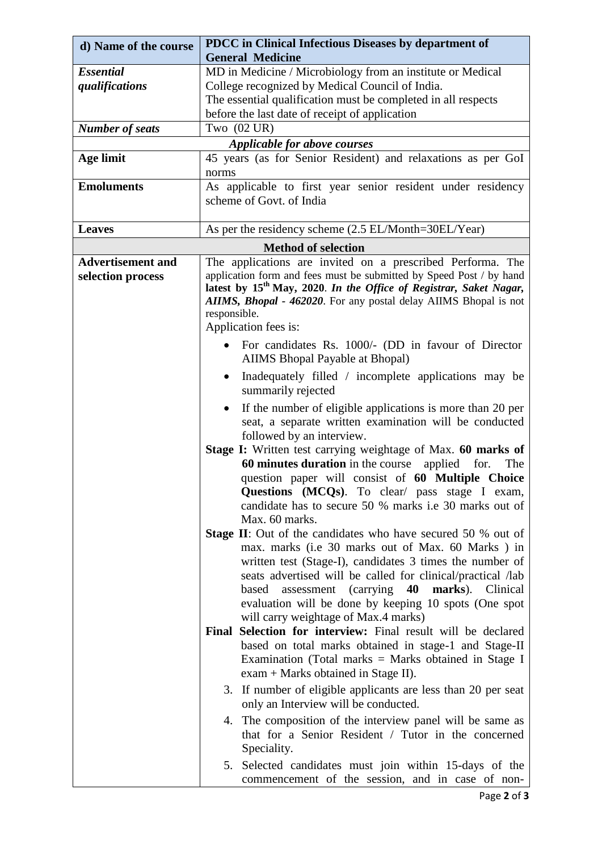| d) Name of the course                         | PDCC in Clinical Infectious Diseases by department of                                                                                                                                                                                                                                                                                                                                                                                                              |  |
|-----------------------------------------------|--------------------------------------------------------------------------------------------------------------------------------------------------------------------------------------------------------------------------------------------------------------------------------------------------------------------------------------------------------------------------------------------------------------------------------------------------------------------|--|
|                                               | <b>General Medicine</b>                                                                                                                                                                                                                                                                                                                                                                                                                                            |  |
| <b>Essential</b>                              | MD in Medicine / Microbiology from an institute or Medical                                                                                                                                                                                                                                                                                                                                                                                                         |  |
| qualifications                                | College recognized by Medical Council of India.                                                                                                                                                                                                                                                                                                                                                                                                                    |  |
|                                               | The essential qualification must be completed in all respects                                                                                                                                                                                                                                                                                                                                                                                                      |  |
|                                               | before the last date of receipt of application                                                                                                                                                                                                                                                                                                                                                                                                                     |  |
| <b>Number of seats</b>                        | Two $(02 \text{ UR})$                                                                                                                                                                                                                                                                                                                                                                                                                                              |  |
| Applicable for above courses                  |                                                                                                                                                                                                                                                                                                                                                                                                                                                                    |  |
| <b>Age limit</b>                              | 45 years (as for Senior Resident) and relaxations as per GoI                                                                                                                                                                                                                                                                                                                                                                                                       |  |
|                                               | norms                                                                                                                                                                                                                                                                                                                                                                                                                                                              |  |
| <b>Emoluments</b>                             | As applicable to first year senior resident under residency                                                                                                                                                                                                                                                                                                                                                                                                        |  |
|                                               | scheme of Govt. of India                                                                                                                                                                                                                                                                                                                                                                                                                                           |  |
|                                               |                                                                                                                                                                                                                                                                                                                                                                                                                                                                    |  |
| <b>Leaves</b>                                 | As per the residency scheme (2.5 EL/Month=30EL/Year)                                                                                                                                                                                                                                                                                                                                                                                                               |  |
| <b>Method of selection</b>                    |                                                                                                                                                                                                                                                                                                                                                                                                                                                                    |  |
| <b>Advertisement and</b><br>selection process | The applications are invited on a prescribed Performa. The<br>application form and fees must be submitted by Speed Post / by hand<br>latest by 15 <sup>th</sup> May, 2020. In the Office of Registrar, Saket Nagar,<br>AIIMS, Bhopal - 462020. For any postal delay AIIMS Bhopal is not<br>responsible.                                                                                                                                                            |  |
|                                               | Application fees is:                                                                                                                                                                                                                                                                                                                                                                                                                                               |  |
|                                               | For candidates Rs. 1000/- (DD in favour of Director<br><b>AIIMS</b> Bhopal Payable at Bhopal)                                                                                                                                                                                                                                                                                                                                                                      |  |
|                                               | Inadequately filled / incomplete applications may be<br>٠<br>summarily rejected                                                                                                                                                                                                                                                                                                                                                                                    |  |
|                                               | If the number of eligible applications is more than 20 per<br>$\bullet$<br>seat, a separate written examination will be conducted<br>followed by an interview.                                                                                                                                                                                                                                                                                                     |  |
|                                               | Stage I: Written test carrying weightage of Max. 60 marks of<br>60 minutes duration in the course applied for.<br>The<br>question paper will consist of 60 Multiple Choice<br>Questions (MCQs). To clear/ pass stage I exam,<br>candidate has to secure 50 % marks i.e 30 marks out of<br>Max. 60 marks.                                                                                                                                                           |  |
|                                               | <b>Stage II:</b> Out of the candidates who have secured 50 % out of<br>max. marks (i.e 30 marks out of Max. 60 Marks) in<br>written test (Stage-I), candidates 3 times the number of<br>seats advertised will be called for clinical/practical /lab<br>assessment (carrying 40 marks). Clinical<br>based<br>evaluation will be done by keeping 10 spots (One spot<br>will carry weightage of Max.4 marks)                                                          |  |
|                                               | Final Selection for interview: Final result will be declared<br>based on total marks obtained in stage-1 and Stage-II<br>Examination (Total marks $=$ Marks obtained in Stage I<br>exam + Marks obtained in Stage II).<br>3. If number of eligible applicants are less than 20 per seat<br>only an Interview will be conducted.<br>4. The composition of the interview panel will be same as<br>that for a Senior Resident / Tutor in the concerned<br>Speciality. |  |
|                                               | 5. Selected candidates must join within 15-days of the<br>commencement of the session, and in case of non-                                                                                                                                                                                                                                                                                                                                                         |  |